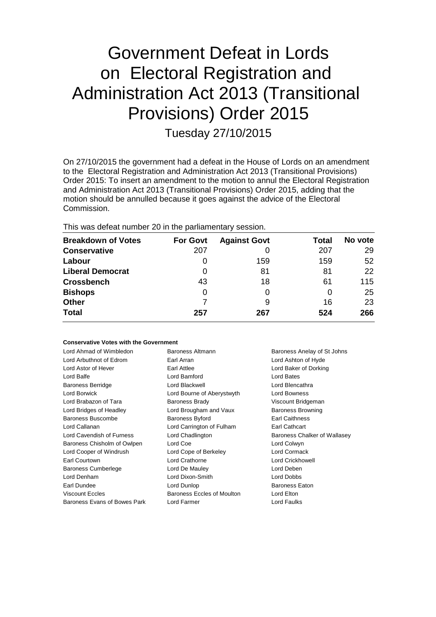# Government Defeat in Lords on Electoral Registration and Administration Act 2013 (Transitional Provisions) Order 2015

Tuesday 27/10/2015

On 27/10/2015 the government had a defeat in the House of Lords on an amendment to the Electoral Registration and Administration Act 2013 (Transitional Provisions) Order 2015: To insert an amendment to the motion to annul the Electoral Registration and Administration Act 2013 (Transitional Provisions) Order 2015, adding that the motion should be annulled because it goes against the advice of the Electoral Commission.

This was defeat number 20 in the parliamentary session.

| <b>Breakdown of Votes</b> | <b>For Govt</b> | <b>Against Govt</b> | Total | No vote |
|---------------------------|-----------------|---------------------|-------|---------|
| <b>Conservative</b>       | 207             |                     | 207   | 29      |
| Labour                    | O               | 159                 | 159   | 52      |
| <b>Liberal Democrat</b>   | 0               | 81                  | 81    | 22      |
| <b>Crossbench</b>         | 43              | 18                  | 61    | 115     |
| <b>Bishops</b>            | 0               |                     | 0     | 25      |
| <b>Other</b>              |                 | 9                   | 16    | 23      |
| <b>Total</b>              | 257             | 267                 | 524   | 266     |
|                           |                 |                     |       |         |

### **Conservative Votes with the Government**

| Lord Ahmad of Wimbledon<br>Lord Arbuthnot of Edrom | Baroness Altmann<br>Earl Arran | Baroness Anelay of St Johns<br>Lord Ashton of Hyde |
|----------------------------------------------------|--------------------------------|----------------------------------------------------|
| Lord Astor of Hever                                | Earl Attlee                    | Lord Baker of Dorking                              |
| Lord Balfe                                         | Lord Bamford                   | Lord Bates                                         |
| <b>Baroness Berridge</b>                           | Lord Blackwell                 | Lord Blencathra                                    |
| Lord Borwick                                       | Lord Bourne of Aberystwyth     | <b>Lord Bowness</b>                                |
| Lord Brabazon of Tara                              | Baroness Brady                 | Viscount Bridgeman                                 |
| Lord Bridges of Headley                            | Lord Brougham and Vaux         | <b>Baroness Browning</b>                           |
| Baroness Buscombe                                  | Baroness Byford                | <b>Earl Caithness</b>                              |
| Lord Callanan                                      | Lord Carrington of Fulham      | <b>Earl Cathcart</b>                               |
| Lord Cavendish of Furness                          | Lord Chadlington               | Baroness Chalker of Wallasey                       |
| Baroness Chisholm of Owlpen                        | Lord Coe                       | Lord Colwyn                                        |
| Lord Cooper of Windrush                            | Lord Cope of Berkeley          | Lord Cormack                                       |
| Earl Courtown                                      | Lord Crathorne                 | Lord Crickhowell                                   |
| Baroness Cumberlege                                | Lord De Mauley                 | Lord Deben                                         |
| Lord Denham                                        | Lord Dixon-Smith               | Lord Dobbs                                         |
| Earl Dundee                                        | Lord Dunlop                    | <b>Baroness Eaton</b>                              |
| <b>Viscount Eccles</b>                             | Baroness Eccles of Moulton     | Lord Elton                                         |
| Baroness Evans of Bowes Park                       | Lord Farmer                    | <b>Lord Faulks</b>                                 |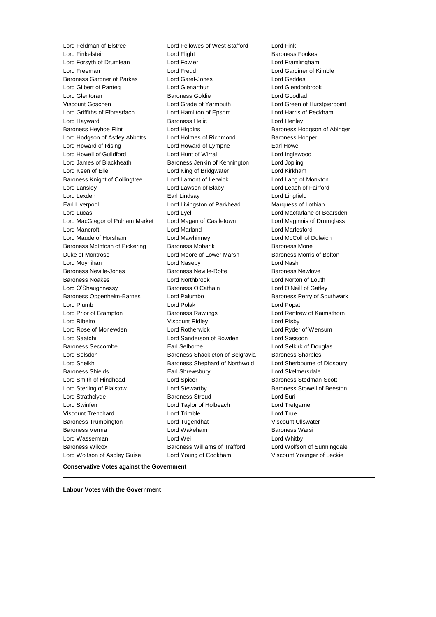Lord Finkelstein **Lord Flight** Baroness Fookes Lord Forsyth of Drumlean Lord Fowler Lord Framlingham Lord Freeman Lord Freud Lord Gardiner of Kimble Baroness Gardner of Parkes Lord Garel-Jones Controller Lord Geddes Lord Gilbert of Panteg Lord Glenarthur Lord Glendonbrook Lord Glentoran Baroness Goldie Lord Goodlad Viscount Goschen Lord Grade of Yarmouth Lord Green of Hurstpierpoint Lord Griffiths of Fforestfach Lord Hamilton of Epsom Lord Harris of Peckham Lord Hayward **Baroness Helic** Lord Henley **Constants Henley** Baroness Heyhoe Flint **Lord Higgins Baroness Hodgson of Abinger Baroness Hodgson of Abinger** Lord Hodgson of Astley Abbotts Lord Holmes of Richmond Baroness Hooper Lord Howard of Rising **Lord Howard of Lympne** Earl Howe Lord Howell of Guildford Lord Hunt of Wirral Lord Inglewood Lord James of Blackheath Baroness Jenkin of Kennington Lord Jopling Lord Keen of Elie Lord King of Bridgwater Lord Kirkham Baroness Knight of Collingtree Lord Lamont of Lerwick Lord Lang of Monkton Lord Lansley Lord Lawson of Blaby Lord Leach of Fairford Lord Lexden Earl Lindsay Lord Lingfield Earl Liverpool **Lord Livingston of Parkhead** Marquess of Lothian Lord Lucas Lord Lyell Lord Macfarlane of Bearsden Lord MacGregor of Pulham Market Lord Magan of Castletown Lord Maginnis of Drumglass Lord Mancroft Lord Marland Lord Marlesford Lord Maude of Horsham Lord Mawhinney Lord McColl of Dulwich Baroness McIntosh of Pickering Baroness Mobarik Baroness Mone Duke of Montrose Lord Moore of Lower Marsh Baroness Morris of Bolton Lord Moynihan Lord Naseby Lord Nash Baroness Neville-Jones **Baroness Neville-Rolfe** Baroness Newlove Baroness Noakes Lord Northbrook Lord Norton of Louth Lord O'Shaughnessy Baroness O'Cathain Lord O'Neill of Gatley Baroness Oppenheim-Barnes and Lord Palumbo **Baroness Perry of Southwark** Lord Plumb Lord Polak Lord Popat Lord Prior of Brampton Baroness Rawlings Lord Renfrew of Kaimsthorn Lord Ribeiro Viscount Ridley Lord Risby Lord Rose of Monewden Lord Rotherwick Lord Ryder of Wensum Lord Saatchi Lord Sanderson of Bowden Lord Sassoon Baroness Seccombe **Earl Selborne Earl Selborne Lord Selkirk of Douglas** Lord Selsdon Baroness Shackleton of Belgravia Baroness Sharples Lord Sheikh **Baroness Shephard of Northwold** Lord Sherbourne of Didsbury Baroness Shields **Earl Shrewsbury** Earl Shrewsbury **Lord Skelmersdale** Lord Smith of Hindhead **Lord Spicer Lord Stedman-Scott Baroness Stedman-Scott** Lord Sterling of Plaistow **Lord Stewartby Baroness Stowell of Beeston** Lord Strathclyde **Baroness Stroud** Lord Suri Lord Swinfen Lord Taylor of Holbeach Lord Trefgarne Viscount Trenchard Lord Trimble Lord True Baroness Trumpington Lord Tugendhat Viscount Ullswater Baroness Verma Lord Wakeham Baroness Warsi Lord Wasserman Lord Wei Lord Whitby Baroness Wilcox Baroness Williams of Trafford Lord Wolfson of Sunningdale Lord Wolfson of Aspley Guise Lord Young of Cookham Viscount Younger of Leckie

Lord Feldman of Elstree Lord Fellowes of West Stafford Lord Fink

**Conservative Votes against the Government**

**Labour Votes with the Government**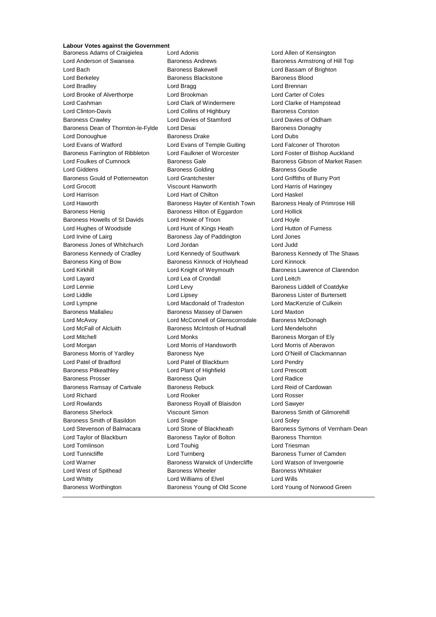### **Labour Votes against the Government**

Lord Anderson of Swansea Baroness Andrews Baroness Armstrong of Hill Top Lord Bach Baroness Bakewell Lord Bassam of Brighton Lord Berkeley Baroness Blackstone Baroness Blood Lord Bradley Lord Bragg Lord Brennan Lord Brooke of Alverthorpe Lord Brookman Lord Carter of Coles Lord Cashman Lord Clark of Windermere Lord Clarke of Hampstead Lord Clinton-Davis **Lord Collins of Highbury** Baroness Corston Baroness Crawley Lord Davies of Stamford Lord Davies of Oldham Baroness Dean of Thornton-le-Fylde Lord Desai **Baroness Danaghy** Baroness Donaghy Lord Donoughue Baroness Drake Lord Dubs Lord Evans of Watford Lord Evans of Temple Guiting Lord Falconer of Thoroton Baroness Farrington of Ribbleton Lord Faulkner of Worcester Lord Foster of Bishop Auckland Lord Foulkes of Cumnock **Baroness Gale** Baroness Gibson of Market Rasen Lord Giddens **Baroness Golding** Baroness Golding Baroness Goudie Baroness Gould of Potternewton Lord Grantchester Lord Griffiths of Burry Port Lord Grocott Viscount Hanworth Lord Harris of Haringey Lord Harrison Lord Hart of Chilton Lord Haskel Lord Haworth **Baroness Hayter of Kentish Town** Baroness Healy of Primrose Hill Baroness Henig **Baroness Hilton of Eggardon** Lord Hollick Baroness Howells of St Davids Lord Howie of Troon Lord Hoyle Lord Hughes of Woodside Lord Hunt of Kings Heath Lord Hutton of Furness Lord Irvine of Lairg **Baroness Jay of Paddington** Lord Jones Baroness Jones of Whitchurch Lord Jordan Lord Judd Baroness Kennedy of Cradley **Lord Kennedy of Southwark** Baroness Kennedy of The Shaws Baroness King of Bow Baroness Kinnock of Holyhead Lord Kinnock Lord Kirkhill Lord Knight of Weymouth Baroness Lawrence of Clarendon Lord Layard **Lord Lea of Crondall** Lord Lord Leitch Lord Lennie **Lord Levy** Lord Levy **Baroness Liddell of Coatdyke** Lord Liddle Lord Lipsey Baroness Lister of Burtersett Lord Lympne Lord Macdonald of Tradeston Lord MacKenzie of Culkein Baroness Mallalieu Baroness Massey of Darwen Lord Maxton Lord McAvoy **Lord McConnell of Glenscorrodale** Baroness McDonagh Lord McFall of Alcluith Baroness McIntosh of Hudnall Lord Mendelsohn Lord Mitchell Lord Monks Baroness Morgan of Ely Lord Morgan Lord Morris of Handsworth Lord Morris of Aberavon Baroness Morris of Yardley Baroness Nye Lord O'Neill of Clackmannan Lord Patel of Bradford Lord Patel of Blackburn Lord Pendry Baroness Pitkeathley Lord Plant of Highfield Lord Prescott Baroness Prosser **Baroness Quin** Baroness Quin **Lord Radice** Baroness Ramsay of Cartvale Baroness Rebuck Lord Reid of Cardowan Lord Richard Lord Rooker Lord Rosser Lord Rowlands Baroness Royall of Blaisdon Lord Sawyer Baroness Sherlock Viscount Simon Baroness Smith of Gilmorehill Baroness Smith of Basildon Lord Snape Lord Soley Lord Stevenson of Balmacara Lord Stone of Blackheath Baroness Symons of Vernham Dean Lord Taylor of Blackburn **Baroness Taylor of Bolton** Baroness Thornton Lord Tomlinson **Lord Touhig Lord Touhig Lord Triesman** Lord Tunnicliffe **Lord Turnberg** Lord Turnberg **Baroness Turner of Camden** Lord Warner **Baroness Warwick of Undercliffe** Lord Watson of Invergowrie Lord West of Spithead **Baroness Wheeler** Baroness Wheeler Baroness Whitaker Lord Whitty **Lord Williams of Elvel** Lord Wills Baroness Worthington Baroness Young of Old Scone Lord Young of Norwood Green

Baroness Adams of Craigielea Lord Adonis Lord Allen of Kensington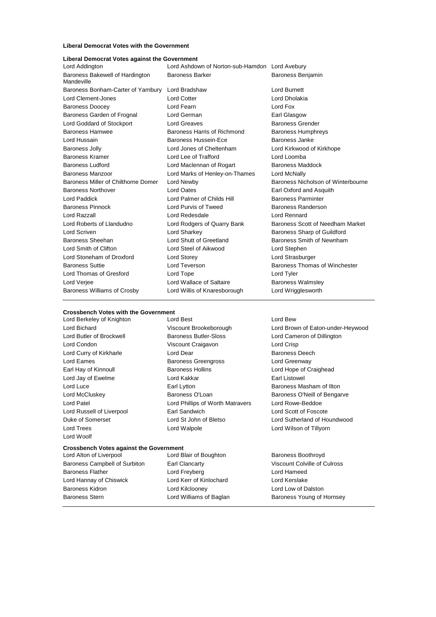#### **Liberal Democrat Votes with the Government**

| Liberal Democrat Votes against the Government |  |             |
|-----------------------------------------------|--|-------------|
| حمده مناماه المعما                            |  | Lord Achdon |

| Lord Addington                                | Lord Ashdown of Norton-sub-Hamdon Lord Avebury |                                    |
|-----------------------------------------------|------------------------------------------------|------------------------------------|
| Baroness Bakewell of Hardington<br>Mandeville | <b>Baroness Barker</b>                         | <b>Baroness Benjamin</b>           |
| Baroness Bonham-Carter of Yarnbury            | Lord Bradshaw                                  | Lord Burnett                       |
| Lord Clement-Jones                            | <b>Lord Cotter</b>                             | Lord Dholakia                      |
| <b>Baroness Doocey</b>                        | Lord Fearn                                     | Lord Fox                           |
| Baroness Garden of Frognal                    | Lord German                                    | Earl Glasgow                       |
| Lord Goddard of Stockport                     | <b>Lord Greaves</b>                            | <b>Baroness Grender</b>            |
| Baroness Hamwee                               | Baroness Harris of Richmond                    | <b>Baroness Humphreys</b>          |
| Lord Hussain                                  | Baroness Hussein-Ece                           | Baroness Janke                     |
| <b>Baroness Jolly</b>                         | Lord Jones of Cheltenham                       | Lord Kirkwood of Kirkhope          |
| <b>Baroness Kramer</b>                        | Lord Lee of Trafford                           | Lord Loomba                        |
| <b>Baroness Ludford</b>                       | Lord Maclennan of Rogart                       | Baroness Maddock                   |
| Baroness Manzoor                              | Lord Marks of Henley-on-Thames                 | Lord McNally                       |
| Baroness Miller of Chilthorne Domer           | Lord Newby                                     | Baroness Nicholson of Winterbourne |
| <b>Baroness Northover</b>                     | <b>Lord Oates</b>                              | Earl Oxford and Asquith            |
| Lord Paddick                                  | Lord Palmer of Childs Hill                     | <b>Baroness Parminter</b>          |
| <b>Baroness Pinnock</b>                       | Lord Purvis of Tweed                           | Baroness Randerson                 |
| Lord Razzall                                  | Lord Redesdale                                 | Lord Rennard                       |
| Lord Roberts of Llandudno                     | Lord Rodgers of Quarry Bank                    | Baroness Scott of Needham Market   |
| Lord Scriven                                  | Lord Sharkey                                   | Baroness Sharp of Guildford        |
| Baroness Sheehan                              | Lord Shutt of Greetland                        | Baroness Smith of Newnham          |
| Lord Smith of Clifton                         | Lord Steel of Aikwood                          | Lord Stephen                       |
| Lord Stoneham of Droxford                     | Lord Storey                                    | Lord Strasburger                   |
| <b>Baroness Suttie</b>                        | Lord Teverson                                  | Baroness Thomas of Winchester      |
| Lord Thomas of Gresford                       | Lord Tope                                      | Lord Tyler                         |
| Lord Verjee                                   | Lord Wallace of Saltaire                       | <b>Baroness Walmsley</b>           |
| Baroness Williams of Crosby                   | Lord Willis of Knaresborough                   | Lord Wrigglesworth                 |
|                                               |                                                |                                    |

### **Crossbench Votes with the Government**<br>
Lord Berkelev of Knighton<br>
Lord Best

Lord Woolf

Lord Berkeley of Knighton Lord Best Lord Bew Baroness Butler-Sloss Lord Cameron of Dillington Lord Condon Viscount Craigavon Lord Crisp Lord Curry of Kirkharle **Lord Dear** Lord Dear **Baroness Deech** Lord Eames **Baroness Greengross** Lord Greenway Earl Hay of Kinnoull **Baroness Hollins** Lord Hope of Craighead Lord Jay of Ewelme **Lord Kakkar Constant Listowel** Lord Kakkar **Earl Listowel** Lord Luce **Earl Lytton** Earl Lytton **Baroness Masham of Ilton** Lord McCluskey **Baroness O'Loan** Baroness O'Loan Baroness O'Neill of Bengarve Lord Patel Lord Phillips of Worth Matravers Lord Rowe-Beddoe Lord Russell of Liverpool Earl Sandwich Lord Scott of Foscote Duke of Somerset Lord St John of Bletso Lord Sutherland of Houndwood Lord Trees Lord Walpole Lord Wilson of Tillyorn

## **Crossbench Votes against the Government**<br>Lord Alton of Liverpool Lord B

Baroness Campbell of Surbiton Earl Clancarty Viscount Colville of Culross Baroness Flather **Lord Freyberg** Lord Freyberg **Lord Hameed** Lord Hannay of Chiswick Lord Kerr of Kinlochard Lord Kerslake Baroness Kidron Lord Kilclooney Lord Low of Dalston Baroness Stern **Example 2** Lord Williams of Baglan Baroness Young of Hornsey

Lord Blair of Boughton Baroness Boothroyd

Lord Bichard **Viscount Brookeborough** Lord Brown of Eaton-under-Heywood<br>
Lord Butler of Brockwell **Brookes Butler-Sloss** Lord Cameron of Dillington